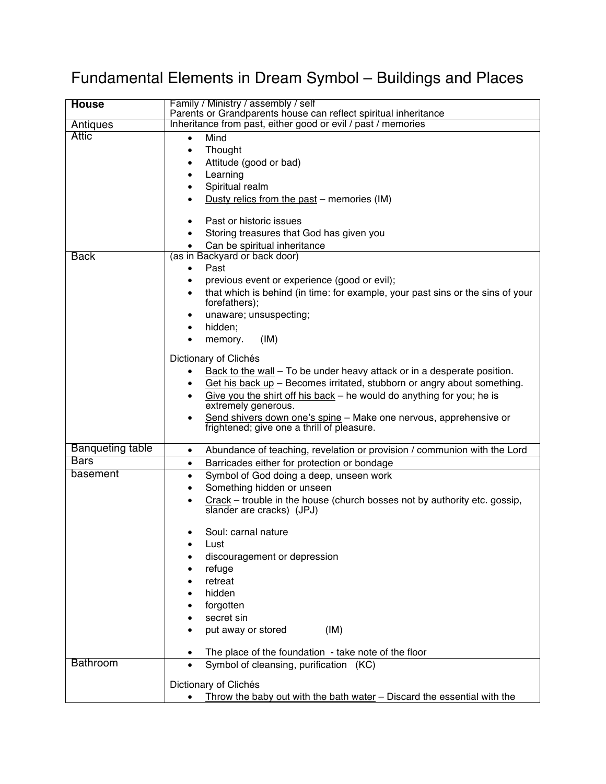## Fundamental Elements in Dream Symbol – Buildings and Places

| Parents or Grandparents house can reflect spiritual inheritance<br>Inheritance from past, either good or evil / past / memories<br>Antiques<br><b>Attic</b><br>Mind<br>$\bullet$<br>Thought<br>$\bullet$<br>Attitude (good or bad)<br>$\bullet$<br>Learning<br>٠<br>Spiritual realm<br>٠<br>Dusty relics from the past - memories (IM)<br>Past or historic issues<br>$\bullet$<br>Storing treasures that God has given you<br>Can be spiritual inheritance<br>(as in Backyard or back door)<br><b>Back</b><br>Past<br>$\bullet$<br>previous event or experience (good or evil);<br>$\bullet$ |
|----------------------------------------------------------------------------------------------------------------------------------------------------------------------------------------------------------------------------------------------------------------------------------------------------------------------------------------------------------------------------------------------------------------------------------------------------------------------------------------------------------------------------------------------------------------------------------------------|
|                                                                                                                                                                                                                                                                                                                                                                                                                                                                                                                                                                                              |
|                                                                                                                                                                                                                                                                                                                                                                                                                                                                                                                                                                                              |
|                                                                                                                                                                                                                                                                                                                                                                                                                                                                                                                                                                                              |
|                                                                                                                                                                                                                                                                                                                                                                                                                                                                                                                                                                                              |
|                                                                                                                                                                                                                                                                                                                                                                                                                                                                                                                                                                                              |
|                                                                                                                                                                                                                                                                                                                                                                                                                                                                                                                                                                                              |
|                                                                                                                                                                                                                                                                                                                                                                                                                                                                                                                                                                                              |
|                                                                                                                                                                                                                                                                                                                                                                                                                                                                                                                                                                                              |
|                                                                                                                                                                                                                                                                                                                                                                                                                                                                                                                                                                                              |
|                                                                                                                                                                                                                                                                                                                                                                                                                                                                                                                                                                                              |
|                                                                                                                                                                                                                                                                                                                                                                                                                                                                                                                                                                                              |
|                                                                                                                                                                                                                                                                                                                                                                                                                                                                                                                                                                                              |
|                                                                                                                                                                                                                                                                                                                                                                                                                                                                                                                                                                                              |
|                                                                                                                                                                                                                                                                                                                                                                                                                                                                                                                                                                                              |
| that which is behind (in time: for example, your past sins or the sins of your<br>$\bullet$<br>forefathers);                                                                                                                                                                                                                                                                                                                                                                                                                                                                                 |
| unaware; unsuspecting;<br>٠                                                                                                                                                                                                                                                                                                                                                                                                                                                                                                                                                                  |
| hidden;<br>$\bullet$                                                                                                                                                                                                                                                                                                                                                                                                                                                                                                                                                                         |
| memory.<br>(IM)<br>$\bullet$                                                                                                                                                                                                                                                                                                                                                                                                                                                                                                                                                                 |
|                                                                                                                                                                                                                                                                                                                                                                                                                                                                                                                                                                                              |
| Dictionary of Clichés                                                                                                                                                                                                                                                                                                                                                                                                                                                                                                                                                                        |
| Back to the wall – To be under heavy attack or in a desperate position.<br>٠                                                                                                                                                                                                                                                                                                                                                                                                                                                                                                                 |
| Get his back up - Becomes irritated, stubborn or angry about something.<br>٠                                                                                                                                                                                                                                                                                                                                                                                                                                                                                                                 |
| Give you the shirt off his back – he would do anything for you; he is<br>٠<br>extremely generous.                                                                                                                                                                                                                                                                                                                                                                                                                                                                                            |
| Send shivers down one's spine - Make one nervous, apprehensive or<br>$\bullet$                                                                                                                                                                                                                                                                                                                                                                                                                                                                                                               |
| frightened; give one a thrill of pleasure.                                                                                                                                                                                                                                                                                                                                                                                                                                                                                                                                                   |
|                                                                                                                                                                                                                                                                                                                                                                                                                                                                                                                                                                                              |
| <b>Banqueting table</b><br>Abundance of teaching, revelation or provision / communion with the Lord<br>$\bullet$                                                                                                                                                                                                                                                                                                                                                                                                                                                                             |
| <b>Bars</b><br>Barricades either for protection or bondage<br>$\bullet$                                                                                                                                                                                                                                                                                                                                                                                                                                                                                                                      |
| basement<br>Symbol of God doing a deep, unseen work<br>$\bullet$                                                                                                                                                                                                                                                                                                                                                                                                                                                                                                                             |
| Something hidden or unseen<br>$\bullet$                                                                                                                                                                                                                                                                                                                                                                                                                                                                                                                                                      |
| $Crack$ - trouble in the house (church bosses not by authority etc. gossip,<br>$\bullet$<br>slander are cracks) (JPJ)                                                                                                                                                                                                                                                                                                                                                                                                                                                                        |
| Soul: carnal nature                                                                                                                                                                                                                                                                                                                                                                                                                                                                                                                                                                          |
| Lust<br>٠                                                                                                                                                                                                                                                                                                                                                                                                                                                                                                                                                                                    |
| discouragement or depression                                                                                                                                                                                                                                                                                                                                                                                                                                                                                                                                                                 |
| refuge                                                                                                                                                                                                                                                                                                                                                                                                                                                                                                                                                                                       |
| retreat                                                                                                                                                                                                                                                                                                                                                                                                                                                                                                                                                                                      |
| hidden                                                                                                                                                                                                                                                                                                                                                                                                                                                                                                                                                                                       |
| forgotten                                                                                                                                                                                                                                                                                                                                                                                                                                                                                                                                                                                    |
| secret sin                                                                                                                                                                                                                                                                                                                                                                                                                                                                                                                                                                                   |
| (IM)<br>put away or stored<br>$\bullet$                                                                                                                                                                                                                                                                                                                                                                                                                                                                                                                                                      |
|                                                                                                                                                                                                                                                                                                                                                                                                                                                                                                                                                                                              |
| The place of the foundation - take note of the floor<br>$\bullet$                                                                                                                                                                                                                                                                                                                                                                                                                                                                                                                            |
| <b>Bathroom</b><br>Symbol of cleansing, purification (KC)<br>$\bullet$                                                                                                                                                                                                                                                                                                                                                                                                                                                                                                                       |
| Dictionary of Clichés                                                                                                                                                                                                                                                                                                                                                                                                                                                                                                                                                                        |
| Throw the baby out with the bath water - Discard the essential with the                                                                                                                                                                                                                                                                                                                                                                                                                                                                                                                      |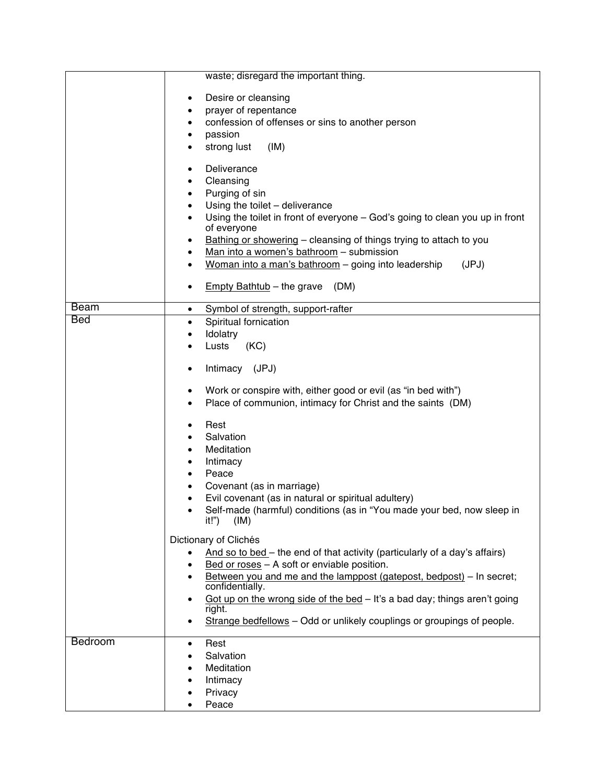|            | waste; disregard the important thing.                                                                |
|------------|------------------------------------------------------------------------------------------------------|
|            |                                                                                                      |
|            | Desire or cleansing                                                                                  |
|            | prayer of repentance                                                                                 |
|            | confession of offenses or sins to another person<br>$\bullet$                                        |
|            | passion                                                                                              |
|            | strong lust<br>(IM)                                                                                  |
|            | Deliverance                                                                                          |
|            | Cleansing                                                                                            |
|            | Purging of sin<br>$\bullet$                                                                          |
|            | Using the toilet - deliverance<br>$\bullet$                                                          |
|            | Using the toilet in front of everyone - God's going to clean you up in front<br>of everyone          |
|            | Bathing or showering – cleansing of things trying to attach to you<br>٠                              |
|            | Man into a women's bathroom - submission<br>٠                                                        |
|            | Woman into a man's bathroom - going into leadership<br>(JPJ)                                         |
|            | Empty Bathtub - the grave<br>(DM)<br>٠                                                               |
| Beam       | Symbol of strength, support-rafter<br>$\bullet$                                                      |
| <b>Bed</b> | Spiritual fornication<br>$\bullet$                                                                   |
|            | Idolatry<br>$\bullet$                                                                                |
|            | Lusts<br>(KC)<br>$\bullet$                                                                           |
|            | Intimacy (JPJ)<br>$\bullet$                                                                          |
|            | Work or conspire with, either good or evil (as "in bed with")<br>٠                                   |
|            | Place of communion, intimacy for Christ and the saints (DM)                                          |
|            |                                                                                                      |
|            | Rest                                                                                                 |
|            | Salvation<br>$\bullet$                                                                               |
|            | Meditation                                                                                           |
|            | Intimacy                                                                                             |
|            | Peace                                                                                                |
|            | Covenant (as in marriage)<br>$\bullet$                                                               |
|            | Evil covenant (as in natural or spiritual adultery)                                                  |
|            | Self-made (harmful) conditions (as in "You made your bed, now sleep in                               |
|            | it!")<br>(IM)                                                                                        |
|            | Dictionary of Clichés                                                                                |
|            | And so to bed – the end of that activity (particularly of a day's affairs)<br>$\bullet$              |
|            | Bed or roses - A soft or enviable position.                                                          |
|            | Between you and me and the lamppost (gatepost, bedpost) - In secret;<br>$\bullet$<br>confidentially. |
|            | Got up on the wrong side of the bed - It's a bad day; things aren't going<br>$\bullet$               |
|            | right.                                                                                               |
|            | Strange bedfellows - Odd or unlikely couplings or groupings of people.                               |
| Bedroom    | Rest<br>$\bullet$                                                                                    |
|            | Salvation                                                                                            |
|            | Meditation                                                                                           |
|            | Intimacy                                                                                             |
|            | Privacy                                                                                              |
|            | Peace                                                                                                |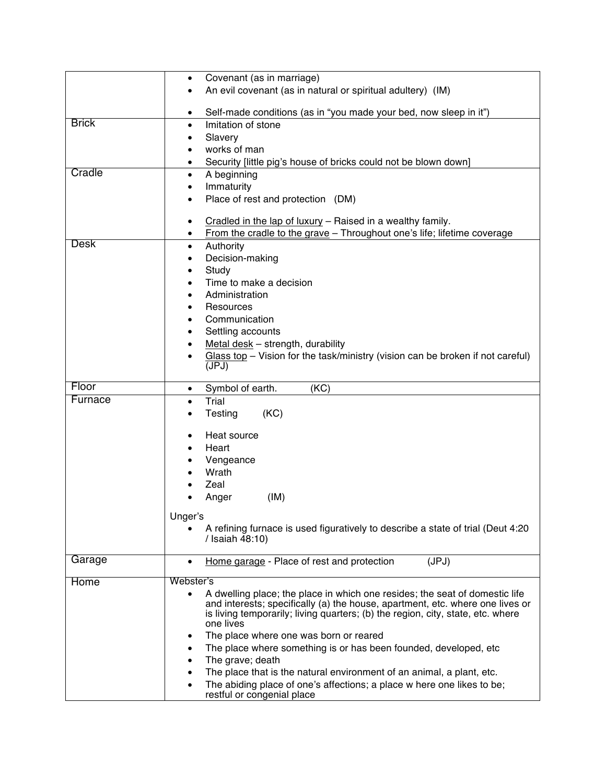|              | Covenant (as in marriage)<br>$\bullet$                                                                                                                       |
|--------------|--------------------------------------------------------------------------------------------------------------------------------------------------------------|
|              | An evil covenant (as in natural or spiritual adultery) (IM)                                                                                                  |
|              | Self-made conditions (as in "you made your bed, now sleep in it")<br>$\bullet$                                                                               |
| <b>Brick</b> | Imitation of stone<br>$\bullet$                                                                                                                              |
|              | Slavery<br>٠                                                                                                                                                 |
|              | works of man                                                                                                                                                 |
|              | Security [little pig's house of bricks could not be blown down]<br>$\bullet$                                                                                 |
| Cradle       | A beginning<br>$\bullet$                                                                                                                                     |
|              | Immaturity<br>$\bullet$                                                                                                                                      |
|              | Place of rest and protection (DM)                                                                                                                            |
|              | Cradled in the lap of luxury - Raised in a wealthy family.<br>٠                                                                                              |
|              | From the cradle to the grave - Throughout one's life; lifetime coverage<br>$\bullet$                                                                         |
| <b>Desk</b>  | Authority<br>٠                                                                                                                                               |
|              | Decision-making                                                                                                                                              |
|              | Study                                                                                                                                                        |
|              | Time to make a decision<br>$\bullet$                                                                                                                         |
|              | Administration<br>٠                                                                                                                                          |
|              | Resources<br>٠                                                                                                                                               |
|              | Communication                                                                                                                                                |
|              | Settling accounts<br>٠                                                                                                                                       |
|              | Metal desk - strength, durability                                                                                                                            |
|              | Glass top - Vision for the task/ministry (vision can be broken if not careful)                                                                               |
|              | (JPJ)                                                                                                                                                        |
| Floor        | (KC)<br>Symbol of earth.<br>$\bullet$                                                                                                                        |
| Furnace      | Trial<br>$\bullet$                                                                                                                                           |
|              | (KC)<br>Testing<br>$\bullet$                                                                                                                                 |
|              | Heat source<br>$\bullet$                                                                                                                                     |
|              | Heart                                                                                                                                                        |
|              | Vengeance                                                                                                                                                    |
|              | Wrath                                                                                                                                                        |
|              | Zeal                                                                                                                                                         |
|              | Anger<br>(IM)                                                                                                                                                |
|              |                                                                                                                                                              |
|              | Unger's                                                                                                                                                      |
|              | A refining furnace is used figuratively to describe a state of trial (Deut 4:20<br>/ Isaiah 48:10)                                                           |
| Garage       | (JPJ)<br>Home garage - Place of rest and protection<br>$\bullet$                                                                                             |
|              |                                                                                                                                                              |
| Home         | Webster's                                                                                                                                                    |
|              | A dwelling place; the place in which one resides; the seat of domestic life<br>and interests; specifically (a) the house, apartment, etc. where one lives or |
|              | is living temporarily; living quarters; (b) the region, city, state, etc. where                                                                              |
|              | one lives                                                                                                                                                    |
|              | The place where one was born or reared<br>٠                                                                                                                  |
|              | The place where something is or has been founded, developed, etc                                                                                             |
|              | The grave; death                                                                                                                                             |
|              | The place that is the natural environment of an animal, a plant, etc.                                                                                        |
|              | The abiding place of one's affections; a place w here one likes to be;<br>restful or congenial place                                                         |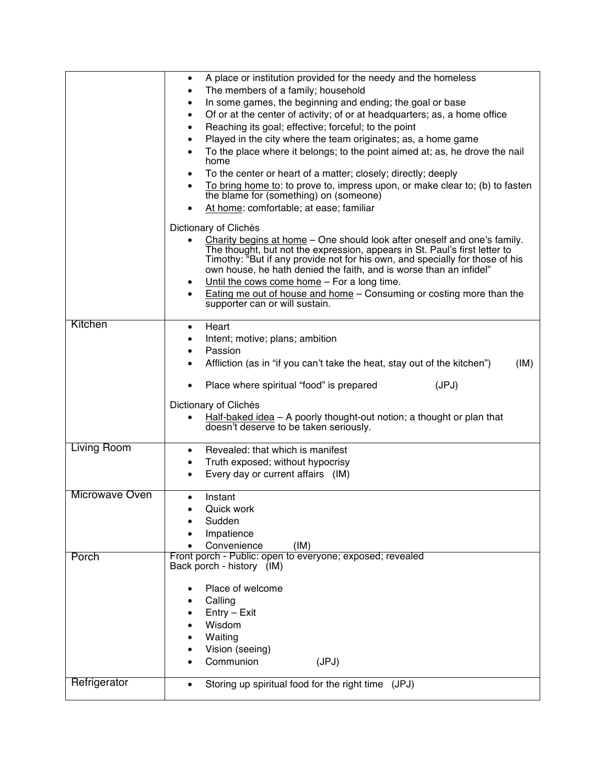|                | A place or institution provided for the needy and the homeless<br>$\bullet$                                                                                                                                                      |
|----------------|----------------------------------------------------------------------------------------------------------------------------------------------------------------------------------------------------------------------------------|
|                | The members of a family; household<br>$\bullet$                                                                                                                                                                                  |
|                | In some games, the beginning and ending; the goal or base<br>٠                                                                                                                                                                   |
|                | Of or at the center of activity; of or at headquarters; as, a home office<br>$\bullet$                                                                                                                                           |
|                | Reaching its goal; effective; forceful; to the point<br>$\bullet$                                                                                                                                                                |
|                | Played in the city where the team originates; as, a home game<br>$\bullet$                                                                                                                                                       |
|                | To the place where it belongs; to the point aimed at; as, he drove the nail<br>$\bullet$<br>home                                                                                                                                 |
|                | To the center or heart of a matter; closely; directly; deeply<br>$\bullet$                                                                                                                                                       |
|                | To bring home to: to prove to, impress upon, or make clear to; (b) to fasten<br>$\bullet$                                                                                                                                        |
|                | the blame for (something) on (someone)<br>At home: comfortable; at ease; familiar                                                                                                                                                |
|                | Dictionary of Clichés                                                                                                                                                                                                            |
|                | Charity begins at home - One should look after oneself and one's family.<br>$\bullet$                                                                                                                                            |
|                | The thought, but not the expression, appears in St. Paul's first letter to<br>Timothy: "But if any provide not for his own, and specially for those of his<br>own house, he hath denied the faith, and is worse than an infidel" |
|                | Until the cows come home - For a long time.<br>$\bullet$                                                                                                                                                                         |
|                | <b>Eating me out of house and home - Consuming or costing more than the</b><br>$\bullet$<br>supporter can or will sustain.                                                                                                       |
| Kitchen        | Heart<br>$\bullet$                                                                                                                                                                                                               |
|                | Intent; motive; plans; ambition<br>٠                                                                                                                                                                                             |
|                | Passion<br>٠                                                                                                                                                                                                                     |
|                | Affliction (as in "if you can't take the heat, stay out of the kitchen")<br>(IM)                                                                                                                                                 |
|                |                                                                                                                                                                                                                                  |
|                | Place where spiritual "food" is prepared<br>(JPJ)                                                                                                                                                                                |
|                | Dictionary of Clichés                                                                                                                                                                                                            |
|                | Half-baked idea $-$ A poorly thought-out notion; a thought or plan that<br>٠                                                                                                                                                     |
|                | doesn't deserve to be taken seriously.                                                                                                                                                                                           |
| Living Room    |                                                                                                                                                                                                                                  |
|                | Revealed: that which is manifest<br>$\bullet$                                                                                                                                                                                    |
|                | Truth exposed; without hypocrisy<br>$\bullet$                                                                                                                                                                                    |
|                | Every day or current affairs (IM)<br>$\bullet$                                                                                                                                                                                   |
| Microwave Oven | Instant<br>$\bullet$                                                                                                                                                                                                             |
|                | Quick work<br>$\bullet$                                                                                                                                                                                                          |
|                | Sudden                                                                                                                                                                                                                           |
|                | Impatience                                                                                                                                                                                                                       |
|                | Convenience<br>(IM)                                                                                                                                                                                                              |
| Porch          | Front porch - Public: open to everyone; exposed; revealed<br>Back porch - history (IM)                                                                                                                                           |
|                |                                                                                                                                                                                                                                  |
|                | Place of welcome                                                                                                                                                                                                                 |
|                | Calling                                                                                                                                                                                                                          |
|                | Entry - Exit                                                                                                                                                                                                                     |
|                | Wisdom                                                                                                                                                                                                                           |
|                | Waiting                                                                                                                                                                                                                          |
|                | Vision (seeing)                                                                                                                                                                                                                  |
|                | Communion<br>(JPJ)                                                                                                                                                                                                               |
| Refrigerator   | Storing up spiritual food for the right time (JPJ)<br>$\bullet$                                                                                                                                                                  |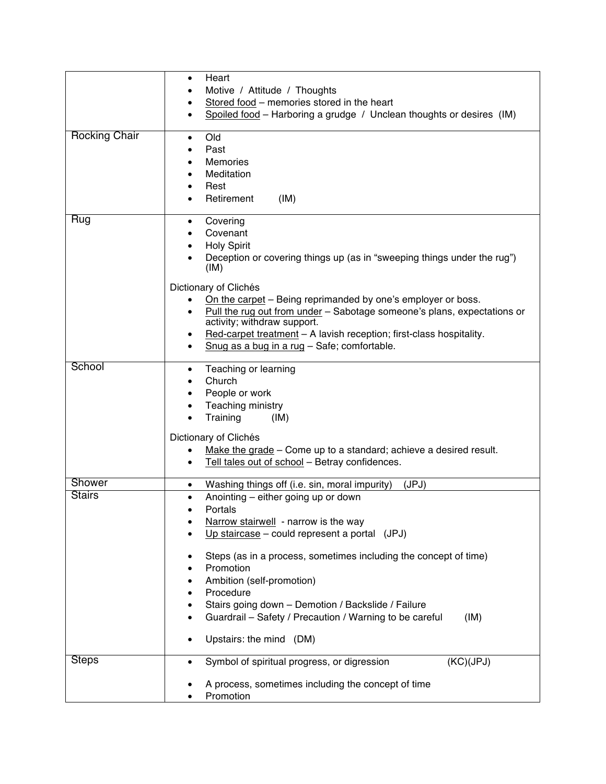|                      | Heart<br>$\bullet$                                                                                                                                                                                                                                                                                                                                                                                                                                                                                                           |
|----------------------|------------------------------------------------------------------------------------------------------------------------------------------------------------------------------------------------------------------------------------------------------------------------------------------------------------------------------------------------------------------------------------------------------------------------------------------------------------------------------------------------------------------------------|
|                      | Motive / Attitude / Thoughts<br>Stored food - memories stored in the heart<br>٠                                                                                                                                                                                                                                                                                                                                                                                                                                              |
|                      | Spoiled food - Harboring a grudge / Unclean thoughts or desires (IM)<br>$\bullet$                                                                                                                                                                                                                                                                                                                                                                                                                                            |
| <b>Rocking Chair</b> | Old<br>$\bullet$<br>Past<br><b>Memories</b><br>Meditation<br>$\bullet$<br>Rest<br>$\bullet$<br>Retirement<br>(IM)                                                                                                                                                                                                                                                                                                                                                                                                            |
| Rug                  | Covering<br>$\bullet$<br>Covenant<br>$\bullet$<br><b>Holy Spirit</b><br>$\bullet$<br>Deception or covering things up (as in "sweeping things under the rug")<br>(IM)<br>Dictionary of Clichés<br>On the carpet - Being reprimanded by one's employer or boss.<br>Pull the rug out from under - Sabotage someone's plans, expectations or<br>$\bullet$<br>activity; withdraw support.<br>Red-carpet treatment - A lavish reception; first-class hospitality.<br>٠<br>Snug as a bug in a rug - Safe; comfortable.<br>$\bullet$ |
| School               | Teaching or learning<br>$\bullet$<br>Church<br>٠<br>People or work<br>٠<br>Teaching ministry<br>$\bullet$<br>Training<br>(IM)<br>Dictionary of Clichés<br>Make the grade – Come up to a standard; achieve a desired result.<br>٠<br>Tell tales out of school - Betray confidences.<br>$\bullet$                                                                                                                                                                                                                              |
| Shower               | Washing things off (i.e. sin, moral impurity)<br>(JPJ)<br>$\bullet$                                                                                                                                                                                                                                                                                                                                                                                                                                                          |
| <b>Stairs</b>        | Anointing – either going up or down<br>$\bullet$<br>Portals<br>Narrow stairwell - narrow is the way<br>Up staircase – could represent a portal (JPJ)<br>Steps (as in a process, sometimes including the concept of time)<br>Promotion<br>Ambition (self-promotion)<br>Procedure<br>Stairs going down - Demotion / Backslide / Failure<br>Guardrail - Safety / Precaution / Warning to be careful<br>(IM)<br>Upstairs: the mind (DM)                                                                                          |
| <b>Steps</b>         | Symbol of spiritual progress, or digression<br>(KC)(JPJ)<br>٠                                                                                                                                                                                                                                                                                                                                                                                                                                                                |
|                      | A process, sometimes including the concept of time<br>Promotion                                                                                                                                                                                                                                                                                                                                                                                                                                                              |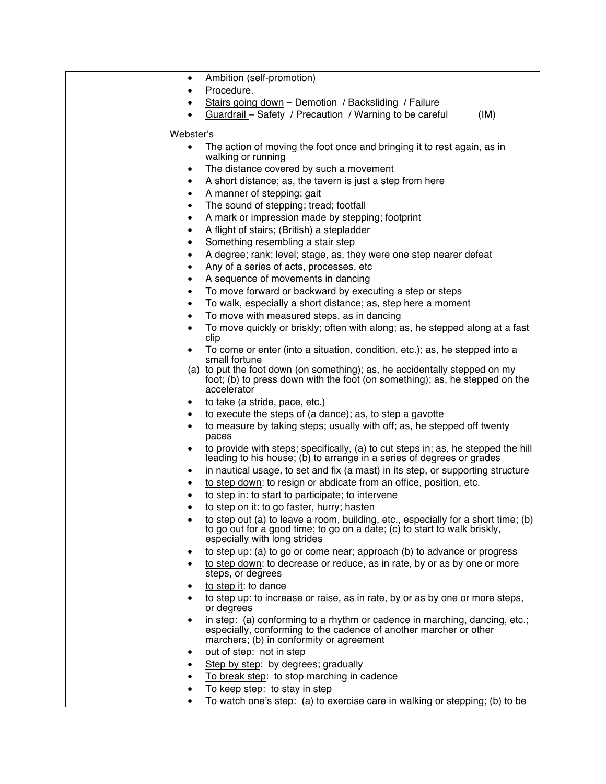| Ambition (self-promotion)<br>٠                                                                                                                                                                 |
|------------------------------------------------------------------------------------------------------------------------------------------------------------------------------------------------|
| Procedure.                                                                                                                                                                                     |
| Stairs going down - Demotion / Backsliding / Failure<br>$\bullet$                                                                                                                              |
|                                                                                                                                                                                                |
| Guardrail - Safety / Precaution / Warning to be careful<br>(IM)                                                                                                                                |
| Webster's                                                                                                                                                                                      |
| The action of moving the foot once and bringing it to rest again, as in                                                                                                                        |
| walking or running                                                                                                                                                                             |
| The distance covered by such a movement<br>٠                                                                                                                                                   |
| A short distance; as, the tavern is just a step from here<br>$\bullet$                                                                                                                         |
| A manner of stepping; gait<br>$\bullet$                                                                                                                                                        |
| The sound of stepping; tread; footfall<br>$\bullet$                                                                                                                                            |
| A mark or impression made by stepping; footprint<br>$\bullet$                                                                                                                                  |
| A flight of stairs; (British) a stepladder<br>٠                                                                                                                                                |
| Something resembling a stair step<br>$\bullet$                                                                                                                                                 |
| A degree; rank; level; stage, as, they were one step nearer defeat                                                                                                                             |
| ٠                                                                                                                                                                                              |
| Any of a series of acts, processes, etc<br>٠                                                                                                                                                   |
| A sequence of movements in dancing<br>٠                                                                                                                                                        |
| To move forward or backward by executing a step or steps<br>٠                                                                                                                                  |
| To walk, especially a short distance; as, step here a moment<br>$\bullet$                                                                                                                      |
| To move with measured steps, as in dancing<br>$\bullet$                                                                                                                                        |
| To move quickly or briskly; often with along; as, he stepped along at a fast<br>$\bullet$<br>clip                                                                                              |
| To come or enter (into a situation, condition, etc.); as, he stepped into a<br>small fortune                                                                                                   |
| (a) to put the foot down (on something); as, he accidentally stepped on my<br>foot; (b) to press down with the foot (on something); as, he stepped on the<br>accelerator                       |
| to take (a stride, pace, etc.)<br>٠                                                                                                                                                            |
| to execute the steps of (a dance); as, to step a gavotte<br>٠                                                                                                                                  |
| to measure by taking steps; usually with off; as, he stepped off twenty<br>$\bullet$                                                                                                           |
| paces                                                                                                                                                                                          |
| to provide with steps; specifically, (a) to cut steps in; as, he stepped the hill<br>٠<br>leading to his house; (b) to arrange in a series of degrees or grades                                |
| in nautical usage, to set and fix (a mast) in its step, or supporting structure<br>٠                                                                                                           |
| to step down: to resign or abdicate from an office, position, etc.<br>$\bullet$                                                                                                                |
| to step in: to start to participate; to intervene<br>٠                                                                                                                                         |
| to step on it: to go faster, hurry; hasten                                                                                                                                                     |
| to step out (a) to leave a room, building, etc., especially for a short time; (b)<br>to go out for a good time; to go on a date; (c) to start to walk briskly,<br>especially with long strides |
| to step up: (a) to go or come near; approach (b) to advance or progress<br>٠                                                                                                                   |
| to step down: to decrease or reduce, as in rate, by or as by one or more<br>steps, or degrees                                                                                                  |
| to step it: to dance                                                                                                                                                                           |
| to step up: to increase or raise, as in rate, by or as by one or more steps,                                                                                                                   |
| or degrees                                                                                                                                                                                     |
| in step: (a) conforming to a rhythm or cadence in marching, dancing, etc.;<br>especially, conforming to the cadence of another marcher or other<br>marchers; (b) in conformity or agreement    |
| out of step: not in step<br>٠                                                                                                                                                                  |
| Step by step: by degrees; gradually                                                                                                                                                            |
| To break step: to stop marching in cadence                                                                                                                                                     |
| To keep step: to stay in step                                                                                                                                                                  |
| To watch one's step: (a) to exercise care in walking or stepping; (b) to be                                                                                                                    |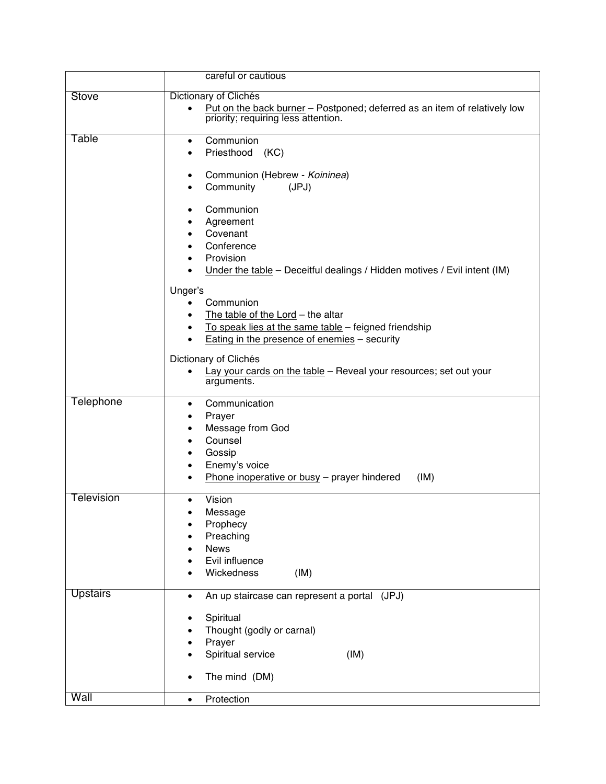|                  | careful or cautious                                                                                                                                                                       |
|------------------|-------------------------------------------------------------------------------------------------------------------------------------------------------------------------------------------|
| Stove            | Dictionary of Clichés                                                                                                                                                                     |
|                  | Put on the back burner - Postponed; deferred as an item of relatively low<br>$\bullet$<br>priority; requiring less attention.                                                             |
| Table            | Communion<br>$\bullet$<br>Priesthood (KC)<br>$\bullet$                                                                                                                                    |
|                  | Communion (Hebrew - Koininea)<br>٠<br>Community<br>(JPJ)<br>٠                                                                                                                             |
|                  | Communion<br>٠<br>Agreement<br>Covenant<br>Conference<br>Provision<br>Under the table - Deceitful dealings / Hidden motives / Evil intent (IM)<br>$\bullet$<br>Unger's<br>Communion       |
|                  | The table of the Lord - the altar<br>To speak lies at the same table - feigned friendship<br>$\bullet$<br>Eating in the presence of enemies - security<br>$\bullet$                       |
|                  | Dictionary of Clichés<br>Lay your cards on the table - Reveal your resources; set out your<br>arguments.                                                                                  |
| <b>Telephone</b> | Communication<br>$\bullet$<br>Prayer<br>٠<br>Message from God<br>٠<br>Counsel<br>Gossip<br>Enemy's voice<br>$\bullet$<br>Phone inoperative or busy - prayer hindered<br>(IM)<br>$\bullet$ |
| Television       | Vision<br>$\bullet$<br>Message<br>Prophecy<br>Preaching<br><b>News</b><br>Evil influence<br>Wickedness<br>(IM)                                                                            |
| <b>Upstairs</b>  | An up staircase can represent a portal (JPJ)<br>٠                                                                                                                                         |
|                  | Spiritual<br>Thought (godly or carnal)<br>Prayer<br>Spiritual service<br>(IM)                                                                                                             |
|                  | The mind (DM)                                                                                                                                                                             |
| Wall             | Protection<br>$\bullet$                                                                                                                                                                   |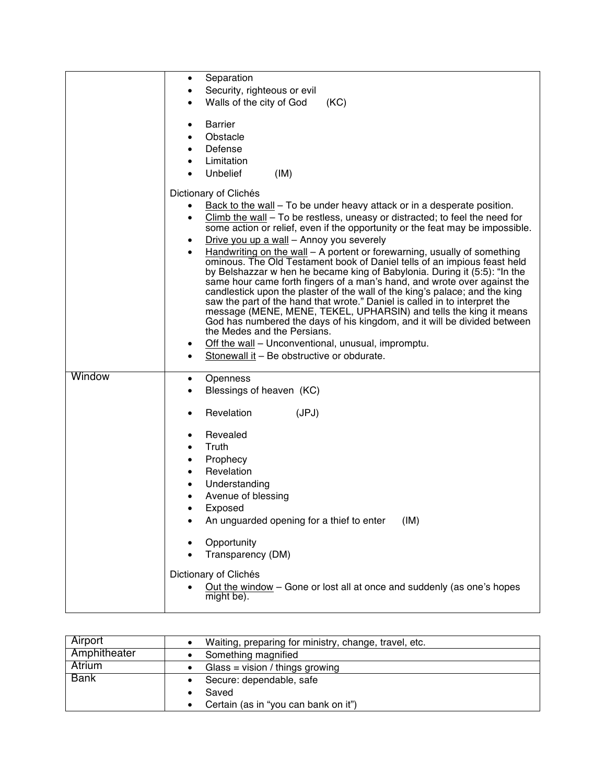|        | Separation<br>٠                                                                                                                                                   |
|--------|-------------------------------------------------------------------------------------------------------------------------------------------------------------------|
|        | Security, righteous or evil<br>Walls of the city of God<br>(KC)                                                                                                   |
|        |                                                                                                                                                                   |
|        | <b>Barrier</b><br>٠                                                                                                                                               |
|        | Obstacle                                                                                                                                                          |
|        | Defense<br>٠<br>Limitation                                                                                                                                        |
|        | <b>Unbelief</b><br>(IM)                                                                                                                                           |
|        | Dictionary of Clichés                                                                                                                                             |
|        | Back to the wall – To be under heavy attack or in a desperate position.                                                                                           |
|        | Climb the wall - To be restless, uneasy or distracted; to feel the need for<br>$\bullet$                                                                          |
|        | some action or relief, even if the opportunity or the feat may be impossible.                                                                                     |
|        | Drive you up a wall - Annoy you severely<br>٠                                                                                                                     |
|        | Handwriting on the wall - A portent or forewarning, usually of something<br>$\bullet$<br>ominous. The Old Testament book of Daniel tells of an impious feast held |
|        | by Belshazzar w hen he became king of Babylonia. During it (5:5): "In the                                                                                         |
|        | same hour came forth fingers of a man's hand, and wrote over against the<br>candlestick upon the plaster of the wall of the king's palace; and the king           |
|        | saw the part of the hand that wrote." Daniel is called in to interpret the                                                                                        |
|        | message (MENE, MENE, TEKEL, UPHARSIN) and tells the king it means<br>God has numbered the days of his kingdom, and it will be divided between                     |
|        | the Medes and the Persians.                                                                                                                                       |
|        | Off the wall - Unconventional, unusual, impromptu.<br>٠                                                                                                           |
|        | Stonewall it - Be obstructive or obdurate.                                                                                                                        |
| Window | Openness<br>$\bullet$                                                                                                                                             |
|        | Blessings of heaven (KC)<br>$\bullet$                                                                                                                             |
|        | Revelation<br>(JPJ)<br>٠                                                                                                                                          |
|        | Revealed<br>٠                                                                                                                                                     |
|        | Truth<br>$\bullet$                                                                                                                                                |
|        | Prophecy<br>$\bullet$                                                                                                                                             |
|        | Revelation<br>$\bullet$                                                                                                                                           |
|        | Understanding<br>$\bullet$                                                                                                                                        |
|        | Avenue of blessing<br>Exposed                                                                                                                                     |
|        | An unguarded opening for a thief to enter<br>(IM)                                                                                                                 |
|        |                                                                                                                                                                   |
|        | Opportunity<br>Transparency (DM)                                                                                                                                  |
|        |                                                                                                                                                                   |
|        | Dictionary of Clichés                                                                                                                                             |
|        | Out the window - Gone or lost all at once and suddenly (as one's hopes<br>might be).                                                                              |
|        |                                                                                                                                                                   |

| Airport      | Waiting, preparing for ministry, change, travel, etc. |
|--------------|-------------------------------------------------------|
| Amphitheater | Something magnified                                   |
| Atrium       | Glass = vision / things growing                       |
| <b>Bank</b>  | Secure: dependable, safe                              |
|              | Saved                                                 |
|              | Certain (as in "you can bank on it")                  |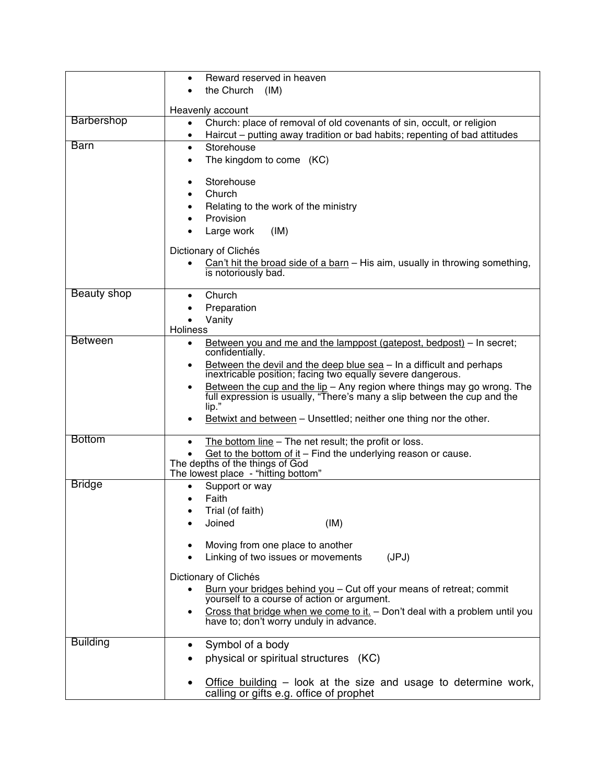|                    | Reward reserved in heaven<br>$\bullet$                                                                                                              |
|--------------------|-----------------------------------------------------------------------------------------------------------------------------------------------------|
|                    | the Church (IM)                                                                                                                                     |
|                    | Heavenly account                                                                                                                                    |
| <b>Barbershop</b>  | Church: place of removal of old covenants of sin, occult, or religion<br>$\bullet$                                                                  |
|                    | Haircut – putting away tradition or bad habits; repenting of bad attitudes<br>٠                                                                     |
| <b>Barn</b>        | Storehouse<br>$\bullet$                                                                                                                             |
|                    | The kingdom to come (KC)                                                                                                                            |
|                    | Storehouse<br>٠                                                                                                                                     |
|                    | Church                                                                                                                                              |
|                    | Relating to the work of the ministry                                                                                                                |
|                    | Provision<br>(IM)<br>Large work                                                                                                                     |
|                    |                                                                                                                                                     |
|                    | Dictionary of Clichés                                                                                                                               |
|                    | Can't hit the broad side of a barn - His aim, usually in throwing something,<br>$\bullet$<br>is notoriously bad.                                    |
| <b>Beauty shop</b> | Church<br>$\bullet$                                                                                                                                 |
|                    | Preparation                                                                                                                                         |
|                    | Vanity<br>$\bullet$                                                                                                                                 |
| <b>Between</b>     | <b>Holiness</b><br>Between you and me and the lamppost (gatepost, bedpost) – In secret;<br>$\bullet$                                                |
|                    | confidentially.                                                                                                                                     |
|                    | Between the devil and the deep blue sea - In a difficult and perhaps<br>$\bullet$                                                                   |
|                    | inextricable position; facing two equally severe dangerous.<br>Between the cup and the lip - Any region where things may go wrong. The<br>$\bullet$ |
|                    | full expression is usually, "There's many a slip between the cup and the                                                                            |
|                    | $lip.$ "                                                                                                                                            |
|                    | Betwixt and between - Unsettled; neither one thing nor the other.                                                                                   |
| <b>Bottom</b>      | The bottom line – The net result; the profit or loss.<br>$\bullet$                                                                                  |
|                    | Get to the bottom of it $-$ Find the underlying reason or cause.<br>The depths of the things of God                                                 |
|                    | The lowest place - "hitting bottom"                                                                                                                 |
| <b>Bridge</b>      | Support or way<br>$\bullet$                                                                                                                         |
|                    | Faith                                                                                                                                               |
|                    | Trial (of faith)<br>Joined<br>(IM)                                                                                                                  |
|                    |                                                                                                                                                     |
|                    | Moving from one place to another                                                                                                                    |
|                    | Linking of two issues or movements<br>(JPJ)                                                                                                         |
|                    | Dictionary of Clichés                                                                                                                               |
|                    | Burn your bridges behind you - Cut off your means of retreat; commit                                                                                |
|                    | yourself to a course of action or argument.<br>Cross that bridge when we come to it. $-$ Don't deal with a problem until you                        |
|                    | have to; don't worry unduly in advance.                                                                                                             |
| <b>Building</b>    | Symbol of a body                                                                                                                                    |
|                    | physical or spiritual structures (KC)                                                                                                               |
|                    | Office building $-$ look at the size and usage to determine work,                                                                                   |
|                    | calling or gifts e.g. office of prophet                                                                                                             |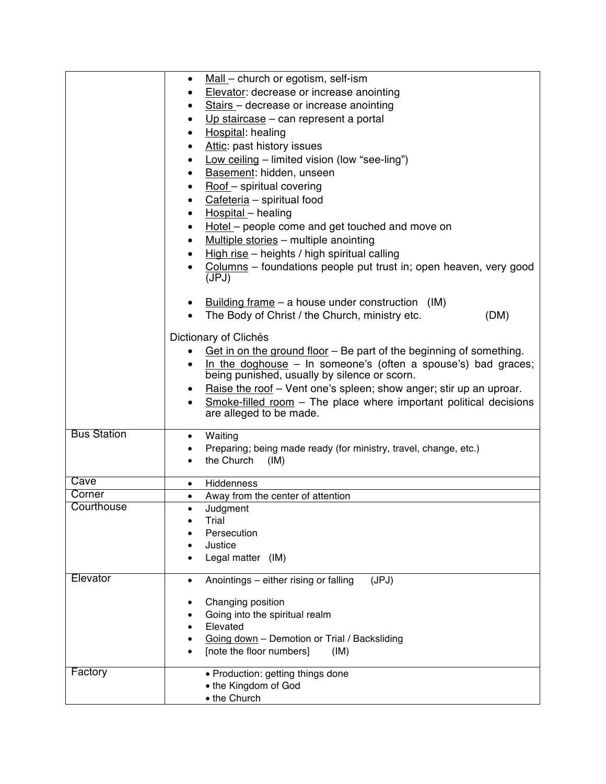|                    | Mall – church or egotism, self-ism<br>$\bullet$                                                |
|--------------------|------------------------------------------------------------------------------------------------|
|                    | Elevator: decrease or increase anointing<br>$\bullet$                                          |
|                    | Stairs - decrease or increase anointing<br>$\bullet$                                           |
|                    | Up staircase $-$ can represent a portal<br>٠                                                   |
|                    | Hospital: healing<br>$\bullet$                                                                 |
|                    | Attic: past history issues<br>$\bullet$                                                        |
|                    | Low ceiling - limited vision (low "see-ling")<br>$\bullet$                                     |
|                    | Basement: hidden, unseen<br>٠                                                                  |
|                    | Roof - spiritual covering<br>$\bullet$                                                         |
|                    | Cafeteria - spiritual food<br>$\bullet$                                                        |
|                    | Hospital - healing<br>٠                                                                        |
|                    | Hotel – people come and get touched and move on<br>$\bullet$                                   |
|                    | Multiple stories - multiple anointing<br>$\bullet$                                             |
|                    | High rise - heights / high spiritual calling                                                   |
|                    | Columns - foundations people put trust in; open heaven, very good                              |
|                    | (JPJ)                                                                                          |
|                    | Building frame $-$ a house under construction (IM)                                             |
|                    | The Body of Christ / the Church, ministry etc.<br>(DM)                                         |
|                    |                                                                                                |
|                    | Dictionary of Clichés                                                                          |
|                    | Get in on the ground floor – Be part of the beginning of something.<br>$\bullet$               |
|                    | In the doghouse $-$ In someone's (often a spouse's) bad graces;<br>$\bullet$                   |
|                    | being punished, usually by silence or scorn.                                                   |
|                    | Raise the roof - Vent one's spleen; show anger; stir up an uproar.<br>$\bullet$                |
|                    | $Smoke-filled$ room – The place where important political decisions<br>are alleged to be made. |
| <b>Bus Station</b> | Waiting<br>$\bullet$                                                                           |
|                    | Preparing; being made ready (for ministry, travel, change, etc.)<br>$\bullet$                  |
|                    | the Church<br>(IM)<br>$\bullet$                                                                |
| Cave               | Hiddenness<br>$\bullet$                                                                        |
| Corner             | Away from the center of attention<br>$\bullet$                                                 |
| Courthouse         | Judgment<br>$\bullet$                                                                          |
|                    | Trial                                                                                          |
|                    | Persecution                                                                                    |
|                    | Justice                                                                                        |
|                    | Legal matter (IM)                                                                              |
| Elevator           | (JPJ)<br>Anointings - either rising or falling<br>$\bullet$                                    |
|                    | Changing position<br>٠                                                                         |
|                    | Going into the spiritual realm                                                                 |
|                    | Elevated                                                                                       |
|                    | Going down - Demotion or Trial / Backsliding                                                   |
|                    | [note the floor numbers]<br>(IM)                                                               |
| Factory            | • Production: getting things done                                                              |
|                    | • the Kingdom of God                                                                           |
|                    | • the Church                                                                                   |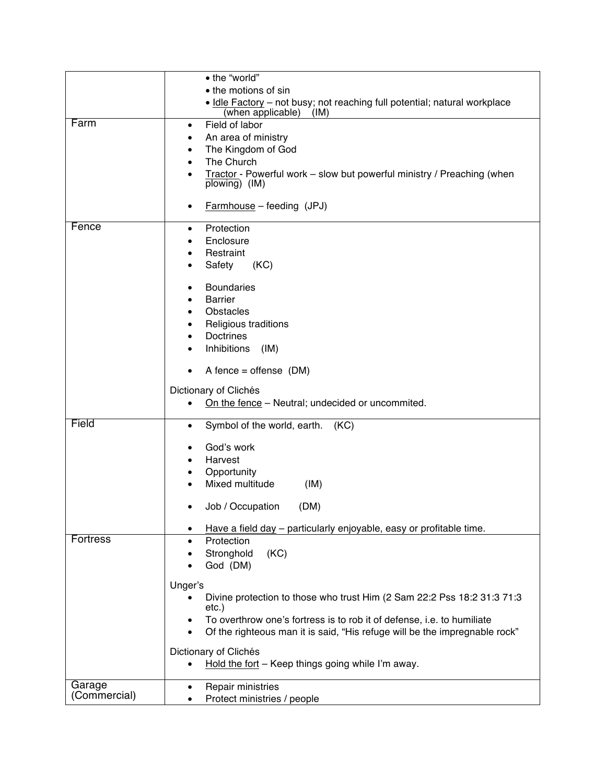|                 | • the "world"                                                                           |
|-----------------|-----------------------------------------------------------------------------------------|
|                 | • the motions of sin                                                                    |
|                 | . Idle Factory - not busy; not reaching full potential; natural workplace               |
| Farm            | (when applicable)<br>(IM)                                                               |
|                 | Field of labor<br>٠                                                                     |
|                 | An area of ministry                                                                     |
|                 | The Kingdom of God<br>$\bullet$                                                         |
|                 | The Church                                                                              |
|                 | Tractor - Powerful work - slow but powerful ministry / Preaching (when<br>plowing) (IM) |
|                 | $Farmhouse - feeding (JPJ)$<br>$\bullet$                                                |
| Fence           | Protection<br>$\bullet$                                                                 |
|                 | Enclosure                                                                               |
|                 | Restraint                                                                               |
|                 | Safety<br>(KC)<br>$\bullet$                                                             |
|                 | <b>Boundaries</b><br>$\bullet$                                                          |
|                 | <b>Barrier</b><br>$\bullet$                                                             |
|                 | <b>Obstacles</b><br>$\bullet$                                                           |
|                 | Religious traditions                                                                    |
|                 | <b>Doctrines</b>                                                                        |
|                 | Inhibitions<br>(IM)<br>$\bullet$                                                        |
|                 | A fence = offense $(DM)$<br>$\bullet$                                                   |
|                 | Dictionary of Clichés                                                                   |
|                 | On the fence – Neutral; undecided or uncommited.<br>$\bullet$                           |
|                 |                                                                                         |
| Field           | Symbol of the world, earth. (KC)<br>$\bullet$                                           |
|                 | God's work                                                                              |
|                 | Harvest<br>٠                                                                            |
|                 | Opportunity                                                                             |
|                 | Mixed multitude                                                                         |
|                 | (IM)                                                                                    |
|                 | Job / Occupation<br>(DM)<br>٠                                                           |
|                 | Have a field day - particularly enjoyable, easy or profitable time.                     |
| <b>Fortress</b> | Protection<br>$\bullet$                                                                 |
|                 | Stronghold<br>(KC)                                                                      |
|                 | God (DM)                                                                                |
|                 | Unger's                                                                                 |
|                 | Divine protection to those who trust Him (2 Sam 22:2 Pss 18:2 31:3 71:3                 |
|                 | $etc.$ )                                                                                |
|                 | To overthrow one's fortress is to rob it of defense, i.e. to humiliate<br>$\bullet$     |
|                 | Of the righteous man it is said, "His refuge will be the impregnable rock"<br>$\bullet$ |
|                 |                                                                                         |
|                 | Dictionary of Clichés                                                                   |
|                 | Hold the fort - Keep things going while I'm away.<br>٠                                  |
| Garage          | Repair ministries<br>$\bullet$                                                          |
| (Commercial)    | Protect ministries / people                                                             |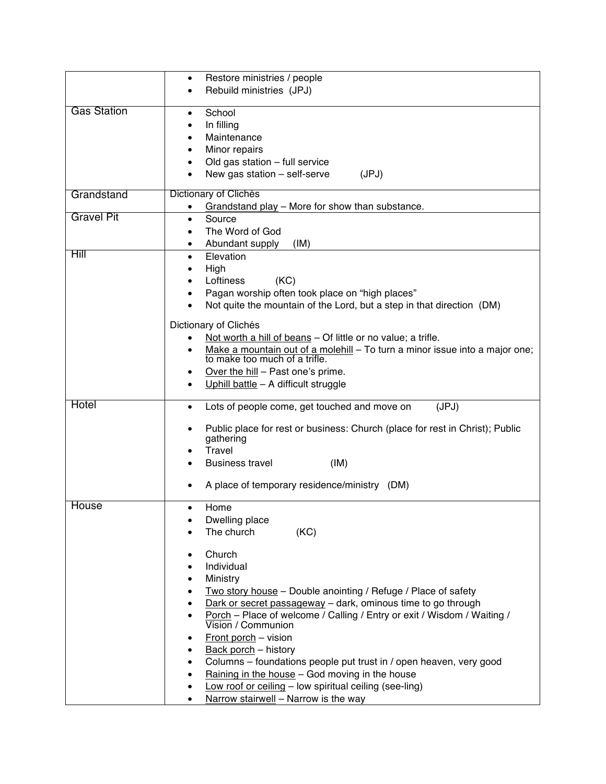|                    | Restore ministries / people<br>٠                                                                                                                                                                                                                                                                                                                                                                                                                                                                                                                                                                                 |
|--------------------|------------------------------------------------------------------------------------------------------------------------------------------------------------------------------------------------------------------------------------------------------------------------------------------------------------------------------------------------------------------------------------------------------------------------------------------------------------------------------------------------------------------------------------------------------------------------------------------------------------------|
|                    | Rebuild ministries (JPJ)                                                                                                                                                                                                                                                                                                                                                                                                                                                                                                                                                                                         |
| <b>Gas Station</b> | School<br>In filling<br>Maintenance<br>Minor repairs<br>Old gas station - full service<br>New gas station - self-serve<br>(JPJ)                                                                                                                                                                                                                                                                                                                                                                                                                                                                                  |
| Grandstand         | Dictionary of Clichés                                                                                                                                                                                                                                                                                                                                                                                                                                                                                                                                                                                            |
| <b>Gravel Pit</b>  | Grandstand play - More for show than substance.<br>Source<br>$\bullet$<br>The Word of God<br>Abundant supply<br>(IM)                                                                                                                                                                                                                                                                                                                                                                                                                                                                                             |
| Hill               | Elevation<br>$\bullet$<br>High<br>Loftiness<br>(KC)<br>Pagan worship often took place on "high places"<br>Not quite the mountain of the Lord, but a step in that direction (DM)<br>Dictionary of Clichés<br>Not worth a hill of beans - Of little or no value; a trifle.<br>Make a mountain out of a molehill - To turn a minor issue into a major one;<br>to make too much of a trifle.<br>Over the hill - Past one's prime.<br>Uphill battle - A difficult struggle                                                                                                                                            |
| Hotel              | (JPJ)<br>Lots of people come, get touched and move on<br>$\bullet$<br>Public place for rest or business: Church (place for rest in Christ); Public<br>gathering<br>Travel<br><b>Business travel</b><br>(IM)<br>A place of temporary residence/ministry (DM)                                                                                                                                                                                                                                                                                                                                                      |
| House              | Home<br>$\bullet$<br>Dwelling place<br>The church<br>(KC)<br>Church<br>Individual<br>Ministry<br>Two story house - Double anointing / Refuge / Place of safety<br>Dark or secret passageway - dark, ominous time to go through<br>Porch - Place of welcome / Calling / Entry or exit / Wisdom / Waiting /<br>Vision / Communion<br>Front porch - vision<br><b>Back porch</b> - history<br>Columns - foundations people put trust in / open heaven, very good<br>Raining in the house - God moving in the house<br>Low roof or ceiling - low spiritual ceiling (see-ling)<br>Narrow stairwell - Narrow is the way |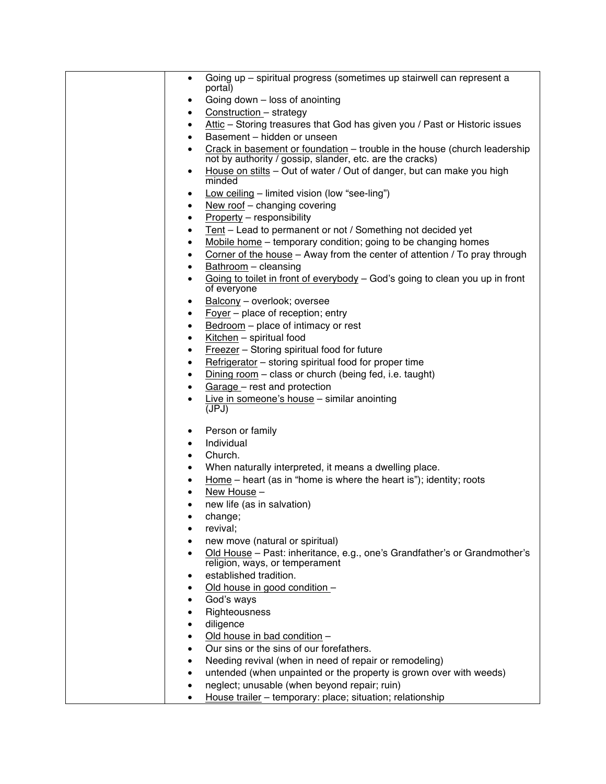| Going up - spiritual progress (sometimes up stairwell can represent a                                                                |
|--------------------------------------------------------------------------------------------------------------------------------------|
| portal)                                                                                                                              |
| Going down - loss of anointing<br>$\bullet$                                                                                          |
| Construction - strategy<br>$\bullet$                                                                                                 |
| Attic - Storing treasures that God has given you / Past or Historic issues<br>$\bullet$                                              |
| Basement - hidden or unseen<br>$\bullet$                                                                                             |
| Crack in basement or foundation $-$ trouble in the house (church leadership not by authority / gossip, slander, etc. are the cracks) |
| House on stilts - Out of water / Out of danger, but can make you high<br>$\bullet$                                                   |
| minded<br>Low ceiling - limited vision (low "see-ling")<br>٠                                                                         |
| New roof - changing covering<br>$\bullet$                                                                                            |
| <b>Property</b> - responsibility<br>$\bullet$                                                                                        |
| Tent - Lead to permanent or not / Something not decided yet<br>٠                                                                     |
| Mobile home - temporary condition; going to be changing homes<br>٠                                                                   |
| Corner of the house - Away from the center of attention / To pray through<br>$\bullet$                                               |
| Bathroom - cleansing<br>$\bullet$                                                                                                    |
|                                                                                                                                      |
| Going to toilet in front of everybody - God's going to clean you up in front<br>$\bullet$<br>of everyone                             |
| Balcony - overlook; oversee<br>٠                                                                                                     |
| $\frac{Foyer}{F}$ – place of reception; entry<br>$\bullet$                                                                           |
| Bedroom - place of intimacy or rest<br>٠                                                                                             |
| Kitchen - spiritual food<br>٠                                                                                                        |
| Freezer - Storing spiritual food for future<br>٠                                                                                     |
| Refrigerator - storing spiritual food for proper time<br>$\bullet$                                                                   |
| Dining room - class or church (being fed, i.e. taught)<br>٠                                                                          |
| Garage - rest and protection<br>$\bullet$                                                                                            |
| Live in someone's house - similar anointing                                                                                          |
| (JPJ)                                                                                                                                |
| Person or family<br>٠                                                                                                                |
| Individual<br>$\bullet$                                                                                                              |
| Church.<br>$\bullet$                                                                                                                 |
| When naturally interpreted, it means a dwelling place.<br>$\bullet$                                                                  |
| Home – heart (as in "home is where the heart is"); identity; roots<br>$\bullet$                                                      |
| New House -<br>$\bullet$                                                                                                             |
| new life (as in salvation)                                                                                                           |
| change;                                                                                                                              |
| revival;                                                                                                                             |
| new move (natural or spiritual)                                                                                                      |
| Old House - Past: inheritance, e.g., one's Grandfather's or Grandmother's                                                            |
| religion, ways, or temperament<br>established tradition.                                                                             |
| ٠                                                                                                                                    |
| Old house in good condition -<br>٠                                                                                                   |
| God's ways<br>٠                                                                                                                      |
| Righteousness<br>٠                                                                                                                   |
| diligence                                                                                                                            |
| Old house in bad condition -                                                                                                         |
| Our sins or the sins of our forefathers.                                                                                             |
| Needing revival (when in need of repair or remodeling)                                                                               |
| untended (when unpainted or the property is grown over with weeds)<br>٠                                                              |
| neglect; unusable (when beyond repair; ruin)                                                                                         |
| House trailer - temporary: place; situation; relationship                                                                            |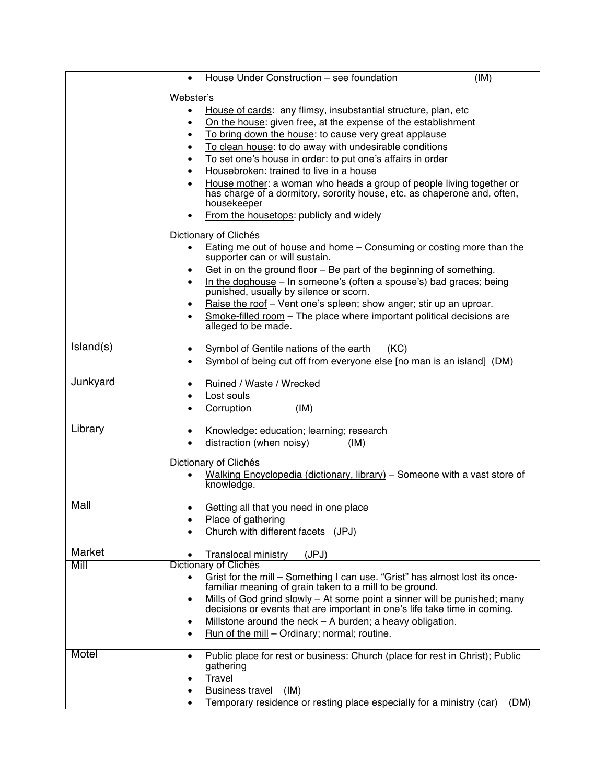|           | (IM)<br>House Under Construction - see foundation<br>$\bullet$                                                                                                  |
|-----------|-----------------------------------------------------------------------------------------------------------------------------------------------------------------|
|           |                                                                                                                                                                 |
|           | Webster's                                                                                                                                                       |
|           | House of cards: any flimsy, insubstantial structure, plan, etc                                                                                                  |
|           | On the house: given free, at the expense of the establishment<br>$\bullet$                                                                                      |
|           | To bring down the house: to cause very great applause<br>$\bullet$                                                                                              |
|           | To clean house: to do away with undesirable conditions<br>$\bullet$                                                                                             |
|           | To set one's house in order: to put one's affairs in order<br>$\bullet$                                                                                         |
|           | Housebroken: trained to live in a house                                                                                                                         |
|           | House mother: a woman who heads a group of people living together or<br>has charge of a dormitory, sorority house, etc. as chaperone and, often,<br>housekeeper |
|           | From the housetops: publicly and widely<br>$\bullet$                                                                                                            |
|           | Dictionary of Clichés                                                                                                                                           |
|           | Eating me out of house and home – Consuming or costing more than the<br>supporter can or will sustain.                                                          |
|           | Get in on the ground floor - Be part of the beginning of something.<br>٠                                                                                        |
|           | In the doghouse – In someone's (often a spouse's) bad graces; being<br>$\bullet$<br>punished, usually by silence or scorn.                                      |
|           | Raise the roof - Vent one's spleen; show anger; stir up an uproar.<br>$\bullet$                                                                                 |
|           | Smoke-filled room - The place where important political decisions are<br>$\bullet$                                                                              |
|           | alleged to be made.                                                                                                                                             |
| Island(s) | Symbol of Gentile nations of the earth                                                                                                                          |
|           | (KC)<br>٠<br>Symbol of being cut off from everyone else [no man is an island] (DM)<br>$\bullet$                                                                 |
|           |                                                                                                                                                                 |
| Junkyard  | Ruined / Waste / Wrecked<br>$\bullet$                                                                                                                           |
|           | Lost souls                                                                                                                                                      |
|           | Corruption<br>(IM)<br>$\bullet$                                                                                                                                 |
|           |                                                                                                                                                                 |
| Library   | Knowledge: education; learning; research<br>$\bullet$                                                                                                           |
|           | distraction (when noisy)<br>(IM)<br>$\bullet$                                                                                                                   |
|           | Dictionary of Clichés                                                                                                                                           |
|           | Walking Encyclopedia (dictionary, library) – Someone with a vast store of                                                                                       |
|           | knowledge.                                                                                                                                                      |
|           |                                                                                                                                                                 |
| Mall      | Getting all that you need in one place<br>$\bullet$                                                                                                             |
|           | Place of gathering<br>٠                                                                                                                                         |
|           | Church with different facets (JPJ)                                                                                                                              |
| Market    |                                                                                                                                                                 |
| Mill      | <b>Translocal ministry</b><br>(JPJ)<br>$\bullet$<br>Dictionary of Clichés                                                                                       |
|           | Grist for the mill - Something I can use. "Grist" has almost lost its once-<br>$\bullet$                                                                        |
|           | familiar meaning of grain taken to a mill to be ground.                                                                                                         |
|           | Mills of God grind slowly - At some point a sinner will be punished; many<br>٠                                                                                  |
|           | decisions or events that are important in one's life take time in coming.                                                                                       |
|           | Millstone around the neck - A burden; a heavy obligation.<br>٠                                                                                                  |
|           | Run of the mill - Ordinary; normal; routine.<br>$\bullet$                                                                                                       |
|           |                                                                                                                                                                 |
| Motel     | Public place for rest or business: Church (place for rest in Christ); Public<br>$\bullet$<br>gathering                                                          |
|           | Travel<br>٠                                                                                                                                                     |
|           | <b>Business travel</b><br>(IM)<br>$\bullet$                                                                                                                     |
|           | Temporary residence or resting place especially for a ministry (car)<br>(DM)<br>٠                                                                               |
|           |                                                                                                                                                                 |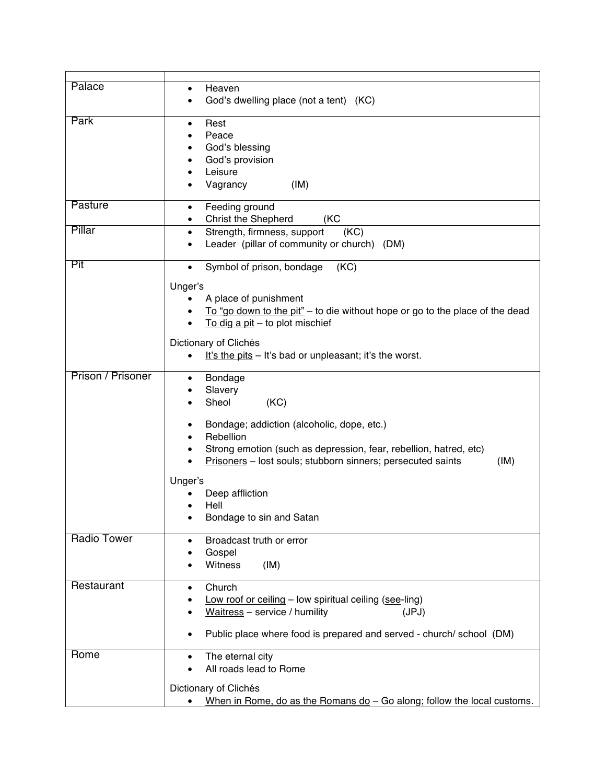| Palace             | Heaven                                                                                    |
|--------------------|-------------------------------------------------------------------------------------------|
|                    | God's dwelling place (not a tent) (KC)                                                    |
| Park               | Rest<br>$\bullet$                                                                         |
|                    | Peace                                                                                     |
|                    | God's blessing                                                                            |
|                    | God's provision                                                                           |
|                    | Leisure                                                                                   |
|                    | Vagrancy<br>(IM)                                                                          |
|                    |                                                                                           |
| Pasture            | Feeding ground<br>$\bullet$                                                               |
|                    | <b>Christ the Shepherd</b><br>(KC                                                         |
| Pillar             | Strength, firmness, support<br>(KC)<br>$\bullet$                                          |
|                    | Leader (pillar of community or church) (DM)                                               |
| Pit                | Symbol of prison, bondage<br>(KC)<br>$\bullet$                                            |
|                    |                                                                                           |
|                    | Unger's                                                                                   |
|                    | A place of punishment                                                                     |
|                    | To "go down to the pit" – to die without hope or go to the place of the dead<br>$\bullet$ |
|                    | To dig a pit $-$ to plot mischief<br>$\bullet$                                            |
|                    | Dictionary of Clichés                                                                     |
|                    | It's the pits – It's bad or unpleasant; it's the worst.<br>$\bullet$                      |
|                    |                                                                                           |
| Prison / Prisoner  | Bondage<br>$\bullet$                                                                      |
|                    | Slavery                                                                                   |
|                    | Sheol<br>(KC)                                                                             |
|                    | Bondage; addiction (alcoholic, dope, etc.)                                                |
|                    | Rebellion                                                                                 |
|                    | Strong emotion (such as depression, fear, rebellion, hatred, etc)                         |
|                    | Prisoners - lost souls; stubborn sinners; persecuted saints<br>(IM)                       |
|                    |                                                                                           |
|                    | Unger's                                                                                   |
|                    | Deep affliction<br>Hell                                                                   |
|                    | Bondage to sin and Satan                                                                  |
|                    |                                                                                           |
| <b>Radio Tower</b> | Broadcast truth or error                                                                  |
|                    | Gospel                                                                                    |
|                    | Witness<br>(IM)                                                                           |
| Restaurant         | Church                                                                                    |
|                    | $\bullet$<br>Low roof or ceiling - low spiritual ceiling (see-ling)                       |
|                    | Waitress - service / humility<br>(JPJ)                                                    |
|                    |                                                                                           |
|                    | Public place where food is prepared and served - church/ school (DM)<br>$\bullet$         |
|                    |                                                                                           |
| Rome               | The eternal city<br>$\bullet$                                                             |
|                    | All roads lead to Rome<br>$\bullet$                                                       |
|                    | Dictionary of Clichés                                                                     |
|                    | When in Rome, do as the Romans $do$ – Go along; follow the local customs.                 |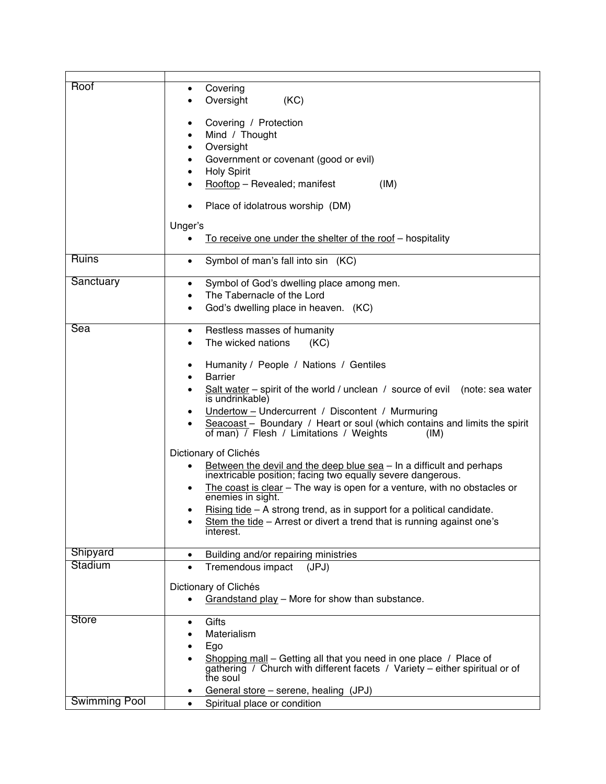| Roof                 | Covering<br>٠<br>Oversight<br>(KC)                                                                                                               |
|----------------------|--------------------------------------------------------------------------------------------------------------------------------------------------|
|                      | Covering / Protection<br>٠<br>Mind / Thought                                                                                                     |
|                      | Oversight<br>٠                                                                                                                                   |
|                      | Government or covenant (good or evil)<br>٠                                                                                                       |
|                      | <b>Holy Spirit</b><br>٠<br>Rooftop - Revealed; manifest<br>(IM)                                                                                  |
|                      | Place of idolatrous worship (DM)                                                                                                                 |
|                      |                                                                                                                                                  |
|                      | Unger's<br>To receive one under the shelter of the roof - hospitality<br>$\bullet$                                                               |
| <b>Ruins</b>         |                                                                                                                                                  |
|                      | Symbol of man's fall into sin (KC)<br>$\bullet$                                                                                                  |
| Sanctuary            | Symbol of God's dwelling place among men.<br>٠                                                                                                   |
|                      | The Tabernacle of the Lord<br>$\bullet$                                                                                                          |
|                      | God's dwelling place in heaven. (KC)<br>$\bullet$                                                                                                |
| Sea                  | Restless masses of humanity<br>$\bullet$                                                                                                         |
|                      | The wicked nations<br>(KC)<br>$\bullet$                                                                                                          |
|                      | Humanity / People / Nations / Gentiles<br>٠                                                                                                      |
|                      | <b>Barrier</b>                                                                                                                                   |
|                      | Salt water – spirit of the world / unclean / source of evil (note: sea water<br>٠<br>is undrinkable)                                             |
|                      | Undertow - Undercurrent / Discontent / Murmuring                                                                                                 |
|                      | Seacoast - Boundary / Heart or soul (which contains and limits the spirit<br>of man) / Flesh / Limitations / Weights<br>(IM)                     |
|                      | Dictionary of Clichés                                                                                                                            |
|                      | Between the devil and the deep blue sea - In a difficult and perhaps<br>$\bullet$<br>inextricable position; facing two equally severe dangerous. |
|                      | The coast is clear - The way is open for a venture, with no obstacles or<br>$\bullet$                                                            |
|                      | enemies in sight.<br>Rising tide $-$ A strong trend, as in support for a political candidate.<br>٠                                               |
|                      | Stem the tide - Arrest or divert a trend that is running against one's<br>$\bullet$                                                              |
|                      | interest.                                                                                                                                        |
| Shipyard             | Building and/or repairing ministries<br>$\bullet$                                                                                                |
| Stadium              | Tremendous impact<br>(JPJ)<br>$\bullet$                                                                                                          |
|                      | Dictionary of Clichés                                                                                                                            |
|                      | Grandstand play - More for show than substance.<br>$\bullet$                                                                                     |
| Store                | Gifts<br>٠                                                                                                                                       |
|                      | Materialism                                                                                                                                      |
|                      | Ego<br>$\bullet$                                                                                                                                 |
|                      | Shopping mall - Getting all that you need in one place / Place of                                                                                |
|                      | gathering / Church with different facets / Variety – either spiritual or of<br>the soul                                                          |
|                      | General store - serene, healing (JPJ)                                                                                                            |
| <b>Swimming Pool</b> | Spiritual place or condition<br>$\bullet$                                                                                                        |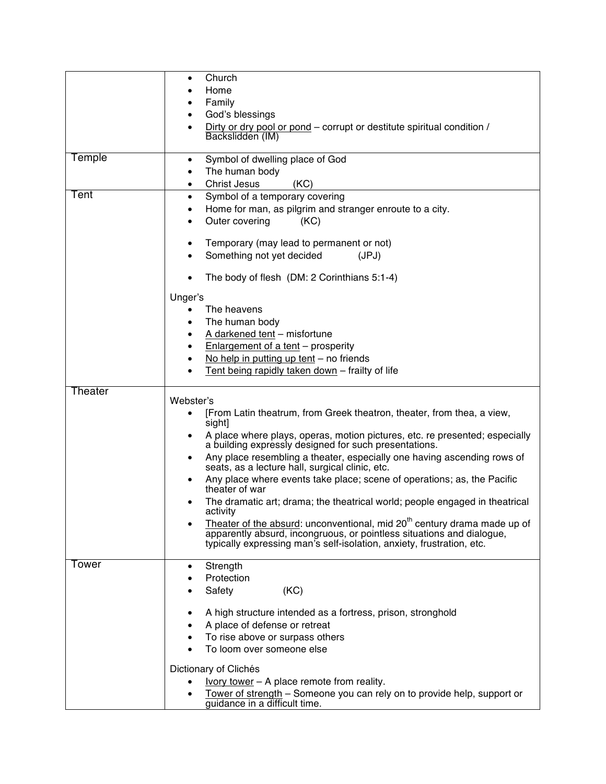|         | Church<br>$\bullet$                                                                                                                  |
|---------|--------------------------------------------------------------------------------------------------------------------------------------|
|         | Home                                                                                                                                 |
|         | Family                                                                                                                               |
|         | God's blessings                                                                                                                      |
|         | Dirty or dry pool or pond – corrupt or destitute spiritual condition /                                                               |
|         | Backslidden (IM)                                                                                                                     |
|         |                                                                                                                                      |
| Temple  | Symbol of dwelling place of God<br>٠                                                                                                 |
|         | The human body<br>$\bullet$                                                                                                          |
|         | <b>Christ Jesus</b><br>(KC)<br>$\bullet$                                                                                             |
| Tent    | Symbol of a temporary covering<br>٠                                                                                                  |
|         | Home for man, as pilgrim and stranger enroute to a city.<br>٠                                                                        |
|         | Outer covering<br>(KC)                                                                                                               |
|         | Temporary (may lead to permanent or not)                                                                                             |
|         | Something not yet decided<br>(JPJ)                                                                                                   |
|         |                                                                                                                                      |
|         | The body of flesh (DM: 2 Corinthians 5:1-4)                                                                                          |
|         |                                                                                                                                      |
|         | Unger's                                                                                                                              |
|         | The heavens                                                                                                                          |
|         | The human body<br>٠                                                                                                                  |
|         | A darkened tent - misfortune<br>٠                                                                                                    |
|         | Enlargement of a tent - prosperity<br>٠                                                                                              |
|         | No help in putting up tent $-$ no friends                                                                                            |
|         | Tent being rapidly taken down - frailty of life                                                                                      |
| Theater |                                                                                                                                      |
|         | Webster's                                                                                                                            |
|         | [From Latin theatrum, from Greek theatron, theater, from thea, a view,<br>sight]                                                     |
|         | A place where plays, operas, motion pictures, etc. re presented; especially<br>a building expressly designed for such presentations. |
|         | Any place resembling a theater, especially one having ascending rows of<br>seats, as a lecture hall, surgical clinic, etc.           |
|         | Any place where events take place; scene of operations; as, the Pacific<br>theater of war                                            |
|         | The dramatic art; drama; the theatrical world; people engaged in theatrical<br>activity                                              |
|         | Theater of the absurd: unconventional, mid 20 <sup>th</sup> century drama made up of                                                 |
|         | apparently absurd, incongruous, or pointless situations and dialogue,                                                                |
|         | typically expressing man's self-isolation, anxiety, frustration, etc.                                                                |
| Tower   |                                                                                                                                      |
|         | Strength<br>٠<br>Protection                                                                                                          |
|         | (KC)<br>Safety                                                                                                                       |
|         |                                                                                                                                      |
|         | A high structure intended as a fortress, prison, stronghold                                                                          |
|         | A place of defense or retreat                                                                                                        |
|         | To rise above or surpass others                                                                                                      |
|         | To loom over someone else                                                                                                            |
|         | Dictionary of Clichés                                                                                                                |
|         | <u>Ivory tower</u> $-$ A place remote from reality.                                                                                  |
|         |                                                                                                                                      |
|         | Tower of strength - Someone you can rely on to provide help, support or                                                              |